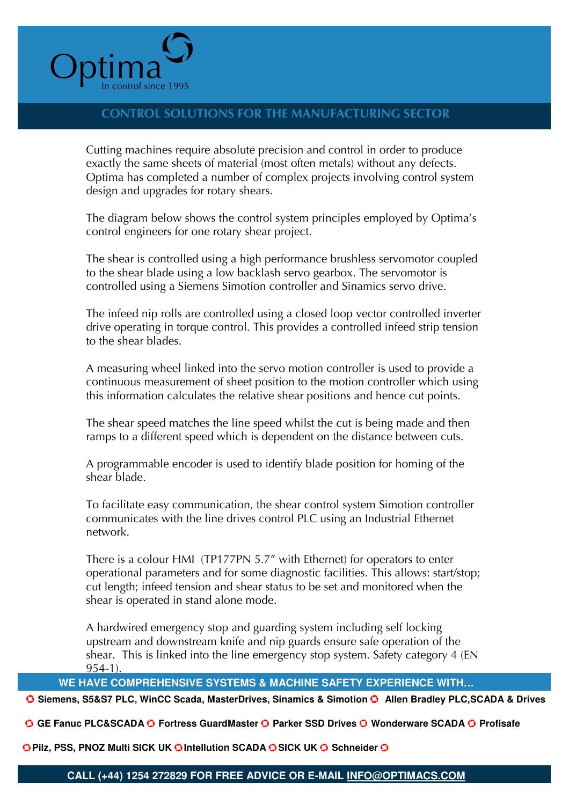

# CONTROL SOLUTIONS FOR THE MANUFACTURING SECTOR

Cutting machines require absolute precision and control in order to produce exactly the same sheets of material (most often metals) without any defects. Optima has completed a number of complex projects involving control system design and upgrades for rotary shears.

The diagram below shows the control system principles employed by Optima's control engineers for one rotary shear project.

The shear is controlled using a high performance brushless servomotor coupled to the shear blade using a low backlash servo gearbox. The servomotor is controlled using a Siemens Simotion controller and Sinamics servo drive.

The infeed nip rolls are controlled using a closed loop vector controlled inverter drive operating in torque control. This provides a controlled infeed strip tension to the shear blades.

A measuring wheel linked into the servo motion controller is used to provide a continuous measurement of sheet position to the motion controller which using this information calculates the relative shear positions and hence cut points.

The shear speed matches the line speed whilst the cut is being made and then ramps to a different speed which is dependent on the distance between cuts.

A programmable encoder is used to identify blade position for homing of the shear blade.

To facilitate easy communication, the shear control system Simotion controller communicates with the line drives control PLC using an Industrial Ethernet network.

There is a colour HMI (TP177PN 5.7" with Ethernet) for operators to enter operational parameters and for some diagnostic facilities. This allows: start/stop; cut length; infeed tension and shear status to be set and monitored when the shear is operated in stand alone mode.

A hardwired emergency stop and guarding system including self locking upstream and downstream knife and nip guards ensure safe operation of the shear. This is linked into the line emergency stop system. Safety category 4 (EN 954-1).

### **WE HAVE COMPREHENSIVE SYSTEMS & MACHINE SAFETY EXPERIENCE WITH…**

**O** Siemens, S5&S7 PLC, WinCC Scada, MasterDrives, Sinamics & Simotion **O** Allen Bradley PLC,SCADA & Drives

o **GE Fanuc PLC&SCADA** o **Fortress GuardMaster** o **Parker SSD Drives** o **Wonderware SCADA** o **Profisafe**

**O**Pilz, PSS, PNOZ Multi SICK UK **O** Intellution SCADA **O** SICK UK **O** Schneider O

### **CALL (+44) 1254 272829 FOR FREE ADVICE OR E-MAIL INFO@OPTIMACS.COM**